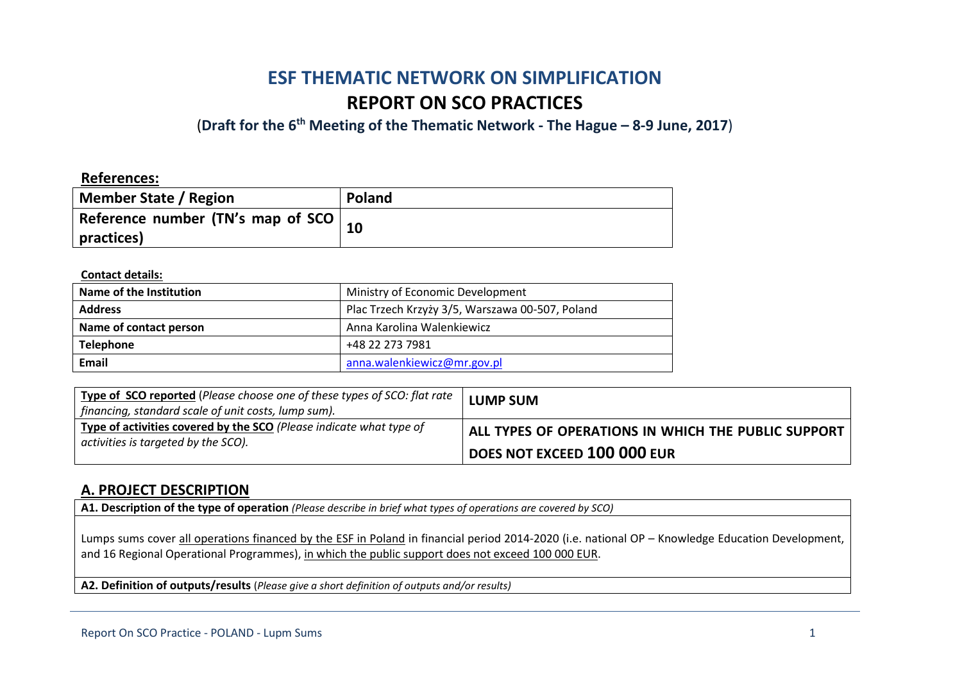# **ESF THEMATIC NETWORK ON SIMPLIFICATION REPORT ON SCO PRACTICES**

(**Draft for the 6th Meeting of the Thematic Network - The Hague – 8-9 June, 2017**)

#### **References:**

| Member State / Region                                      | Poland |
|------------------------------------------------------------|--------|
| Reference number (TN's map of SCO $\vert$ 10<br>practices) |        |
|                                                            |        |

#### **Contact details:**

| Name of the Institution | Ministry of Economic Development                |
|-------------------------|-------------------------------------------------|
| <b>Address</b>          | Plac Trzech Krzyży 3/5, Warszawa 00-507, Poland |
| Name of contact person  | Anna Karolina Walenkiewicz                      |
| <b>Telephone</b>        | +48 22 273 7981                                 |
| Email                   | anna.walenkiewicz@mr.gov.pl                     |

| <b>Type of SCO reported</b> (Please choose one of these types of SCO: flat rate $\vert$<br>financing, standard scale of unit costs, lump sum). | <b>LUMP SUM</b>                                     |
|------------------------------------------------------------------------------------------------------------------------------------------------|-----------------------------------------------------|
| Type of activities covered by the SCO (Please indicate what type of                                                                            | ALL TYPES OF OPERATIONS IN WHICH THE PUBLIC SUPPORT |
| activities is targeted by the SCO).                                                                                                            | DOES NOT EXCEED 100 000 EUR                         |

#### **A. PROJECT DESCRIPTION**

**A1. Description of the type of operation** *(Please describe in brief what types of operations are covered by SCO)*

Lumps sums cover all operations financed by the ESF in Poland in financial period 2014-2020 (i.e. national OP – Knowledge Education Development, and 16 Regional Operational Programmes), in which the public support does not exceed 100 000 EUR.

**A2. Definition of outputs/results** (*Please give a short definition of outputs and/or results)*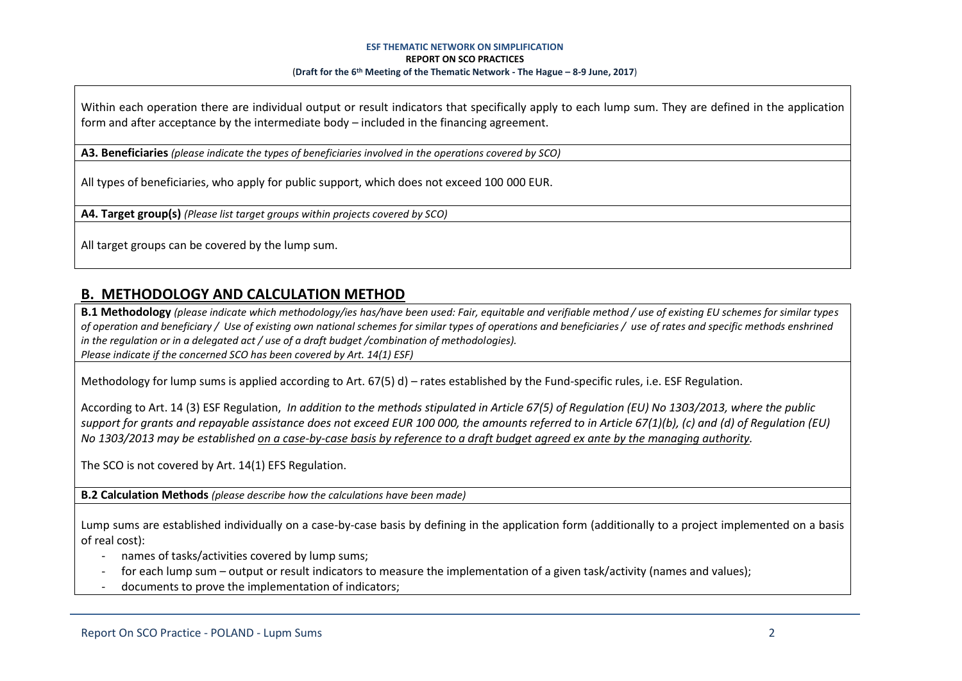Within each operation there are individual output or result indicators that specifically apply to each lump sum. They are defined in the application form and after acceptance by the intermediate body – included in the financing agreement.

**A3. Beneficiaries** *(please indicate the types of beneficiaries involved in the operations covered by SCO)*

All types of beneficiaries, who apply for public support, which does not exceed 100 000 EUR.

**A4. Target group(s)** *(Please list target groups within projects covered by SCO)*

All target groups can be covered by the lump sum.

### **B. METHODOLOGY AND CALCULATION METHOD**

**B.1 Methodology** *(please indicate which methodology/ies has/have been used: Fair, equitable and verifiable method / use of existing EU schemes for similar types of operation and beneficiary / Use of existing own national schemes for similar types of operations and beneficiaries / use of rates and specific methods enshrined in the regulation or in a delegated act / use of a draft budget /combination of methodologies). Please indicate if the concerned SCO has been covered by Art. 14(1) ESF)*

Methodology for lump sums is applied according to Art. 67(5) d) – rates established by the Fund-specific rules, i.e. ESF Regulation.

According to Art. 14 (3) ESF Regulation, *In addition to the methods stipulated in Article 67(5) of Regulation (EU) No 1303/2013, where the public support for grants and repayable assistance does not exceed EUR 100 000, the amounts referred to in Article 67(1)(b), (c) and (d) of Regulation (EU) No 1303/2013 may be established on a case-by-case basis by reference to a draft budget agreed ex ante by the managing authority.*

The SCO is not covered by Art. 14(1) EFS Regulation.

**B.2 Calculation Methods** *(please describe how the calculations have been made)*

Lump sums are established individually on a case-by-case basis by defining in the application form (additionally to a project implemented on a basis of real cost):

- names of tasks/activities covered by lump sums;
- for each lump sum output or result indicators to measure the implementation of a given task/activity (names and values);
- documents to prove the implementation of indicators;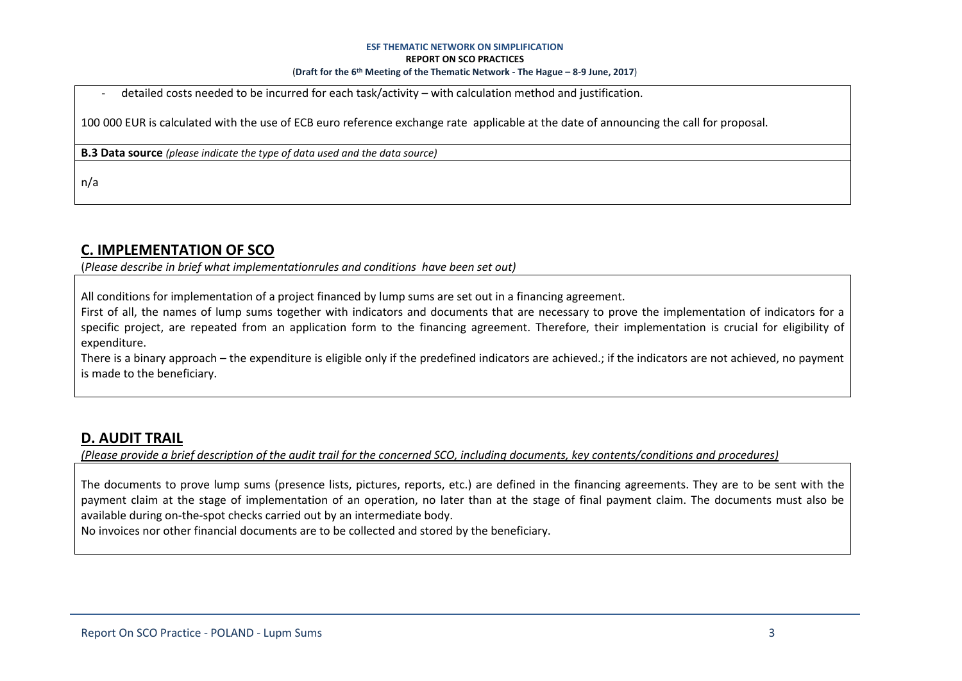detailed costs needed to be incurred for each task/activity – with calculation method and justification.

100 000 EUR is calculated with the use of ECB euro reference exchange rate applicable at the date of announcing the call for proposal.

**B.3 Data source** *(please indicate the type of data used and the data source)*

n/a

# **C. IMPLEMENTATION OF SCO**

(*Please describe in brief what implementationrules and conditions have been set out)*

All conditions for implementation of a project financed by lump sums are set out in a financing agreement.

First of all, the names of lump sums together with indicators and documents that are necessary to prove the implementation of indicators for a specific project, are repeated from an application form to the financing agreement. Therefore, their implementation is crucial for eligibility of expenditure.

There is a binary approach – the expenditure is eligible only if the predefined indicators are achieved.; if the indicators are not achieved, no payment is made to the beneficiary.

### **D. AUDIT TRAIL**

*(Please provide a brief description of the audit trail for the concerned SCO, including documents, key contents/conditions and procedures)*

The documents to prove lump sums (presence lists, pictures, reports, etc.) are defined in the financing agreements. They are to be sent with the payment claim at the stage of implementation of an operation, no later than at the stage of final payment claim. The documents must also be available during on-the-spot checks carried out by an intermediate body.

No invoices nor other financial documents are to be collected and stored by the beneficiary.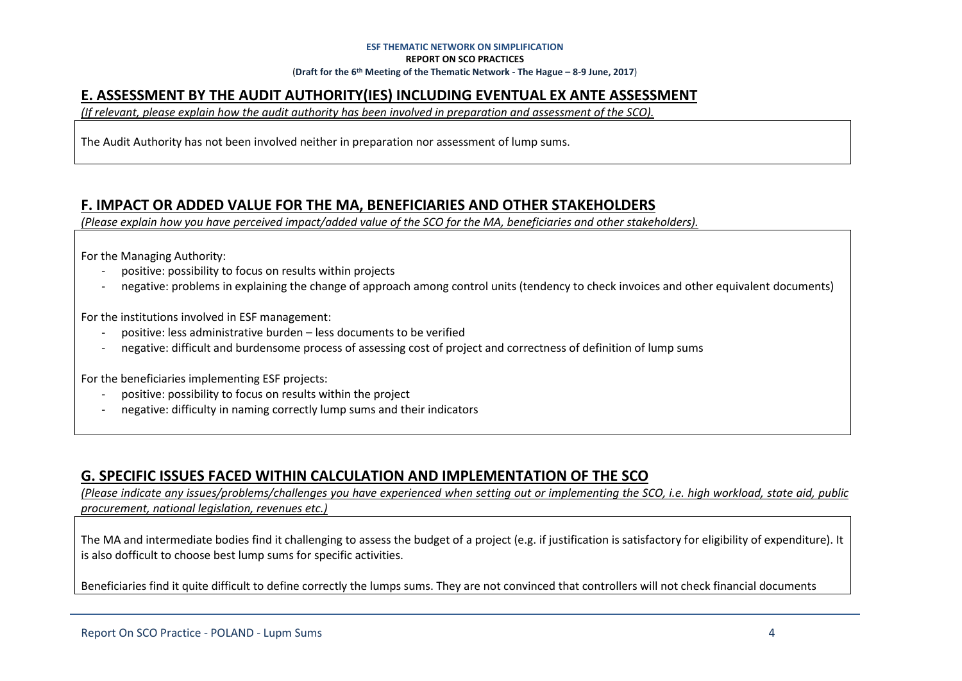## **E. ASSESSMENT BY THE AUDIT AUTHORITY(IES) INCLUDING EVENTUAL EX ANTE ASSESSMENT**

*(If relevant, please explain how the audit authority has been involved in preparation and assessment of the SCO).* 

The Audit Authority has not been involved neither in preparation nor assessment of lump sums.

### **F. IMPACT OR ADDED VALUE FOR THE MA, BENEFICIARIES AND OTHER STAKEHOLDERS**

*(Please explain how you have perceived impact/added value of the SCO for the MA, beneficiaries and other stakeholders).* 

For the Managing Authority:

- positive: possibility to focus on results within projects
- negative: problems in explaining the change of approach among control units (tendency to check invoices and other equivalent documents)

For the institutions involved in ESF management:

- positive: less administrative burden less documents to be verified
- negative: difficult and burdensome process of assessing cost of project and correctness of definition of lump sums

For the beneficiaries implementing ESF projects:

- positive: possibility to focus on results within the project
- negative: difficulty in naming correctly lump sums and their indicators

## **G. SPECIFIC ISSUES FACED WITHIN CALCULATION AND IMPLEMENTATION OF THE SCO**

*(Please indicate any issues/problems/challenges you have experienced when setting out or implementing the SCO, i.e. high workload, state aid, public procurement, national legislation, revenues etc.)*

The MA and intermediate bodies find it challenging to assess the budget of a project (e.g. if justification is satisfactory for eligibility of expenditure). It is also dofficult to choose best lump sums for specific activities.

Beneficiaries find it quite difficult to define correctly the lumps sums. They are not convinced that controllers will not check financial documents